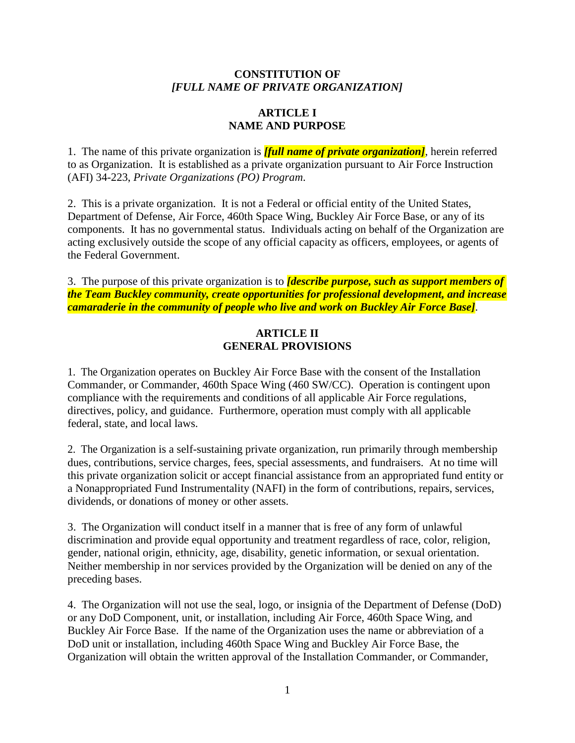#### **CONSTITUTION OF** *[FULL NAME OF PRIVATE ORGANIZATION]*

#### **ARTICLE I NAME AND PURPOSE**

1. The name of this private organization is *[full name of private organization]*, herein referred to as Organization. It is established as a private organization pursuant to Air Force Instruction (AFI) 34-223, *Private Organizations (PO) Program*.

2. This is a private organization. It is not a Federal or official entity of the United States, Department of Defense, Air Force, 460th Space Wing, Buckley Air Force Base, or any of its components. It has no governmental status. Individuals acting on behalf of the Organization are acting exclusively outside the scope of any official capacity as officers, employees, or agents of the Federal Government.

3. The purpose of this private organization is to *[describe purpose, such as support members of the Team Buckley community, create opportunities for professional development, and increase camaraderie in the community of people who live and work on Buckley Air Force Base]*.

### **ARTICLE II GENERAL PROVISIONS**

1. The Organization operates on Buckley Air Force Base with the consent of the Installation Commander, or Commander, 460th Space Wing (460 SW/CC). Operation is contingent upon compliance with the requirements and conditions of all applicable Air Force regulations, directives, policy, and guidance. Furthermore, operation must comply with all applicable federal, state, and local laws.

2. The Organization is a self-sustaining private organization, run primarily through membership dues, contributions, service charges, fees, special assessments, and fundraisers. At no time will this private organization solicit or accept financial assistance from an appropriated fund entity or a Nonappropriated Fund Instrumentality (NAFI) in the form of contributions, repairs, services, dividends, or donations of money or other assets.

3. The Organization will conduct itself in a manner that is free of any form of unlawful discrimination and provide equal opportunity and treatment regardless of race, color, religion, gender, national origin, ethnicity, age, disability, genetic information, or sexual orientation. Neither membership in nor services provided by the Organization will be denied on any of the preceding bases.

4. The Organization will not use the seal, logo, or insignia of the Department of Defense (DoD) or any DoD Component, unit, or installation, including Air Force, 460th Space Wing, and Buckley Air Force Base. If the name of the Organization uses the name or abbreviation of a DoD unit or installation, including 460th Space Wing and Buckley Air Force Base, the Organization will obtain the written approval of the Installation Commander, or Commander,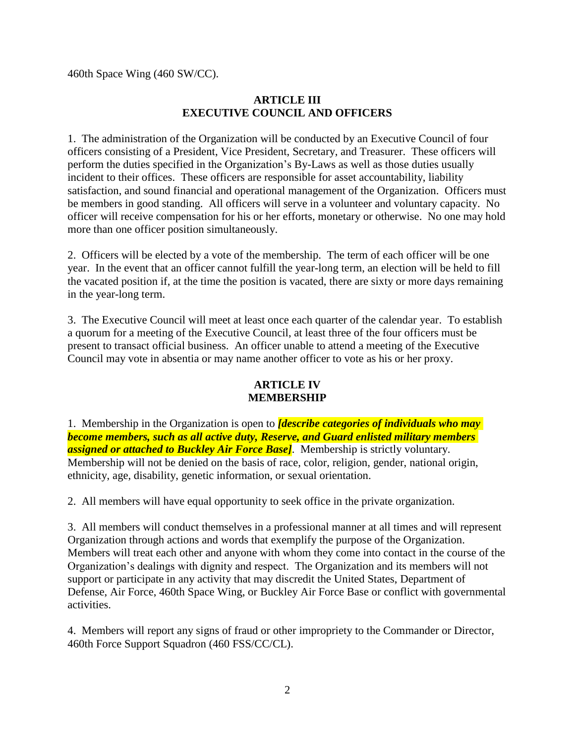460th Space Wing (460 SW/CC).

#### **ARTICLE III EXECUTIVE COUNCIL AND OFFICERS**

1. The administration of the Organization will be conducted by an Executive Council of four officers consisting of a President, Vice President, Secretary, and Treasurer. These officers will perform the duties specified in the Organization's By-Laws as well as those duties usually incident to their offices. These officers are responsible for asset accountability, liability satisfaction, and sound financial and operational management of the Organization. Officers must be members in good standing. All officers will serve in a volunteer and voluntary capacity. No officer will receive compensation for his or her efforts, monetary or otherwise. No one may hold more than one officer position simultaneously.

2. Officers will be elected by a vote of the membership. The term of each officer will be one year. In the event that an officer cannot fulfill the year-long term, an election will be held to fill the vacated position if, at the time the position is vacated, there are sixty or more days remaining in the year-long term.

3. The Executive Council will meet at least once each quarter of the calendar year. To establish a quorum for a meeting of the Executive Council, at least three of the four officers must be present to transact official business. An officer unable to attend a meeting of the Executive Council may vote in absentia or may name another officer to vote as his or her proxy.

#### **ARTICLE IV MEMBERSHIP**

1. Membership in the Organization is open to *[describe categories of individuals who may become members, such as all active duty, Reserve, and Guard enlisted military members assigned or attached to Buckley Air Force Base]*. Membership is strictly voluntary. Membership will not be denied on the basis of race, color, religion, gender, national origin, ethnicity, age, disability, genetic information, or sexual orientation.

2. All members will have equal opportunity to seek office in the private organization.

3. All members will conduct themselves in a professional manner at all times and will represent Organization through actions and words that exemplify the purpose of the Organization. Members will treat each other and anyone with whom they come into contact in the course of the Organization's dealings with dignity and respect. The Organization and its members will not support or participate in any activity that may discredit the United States, Department of Defense, Air Force, 460th Space Wing, or Buckley Air Force Base or conflict with governmental activities.

4. Members will report any signs of fraud or other impropriety to the Commander or Director, 460th Force Support Squadron (460 FSS/CC/CL).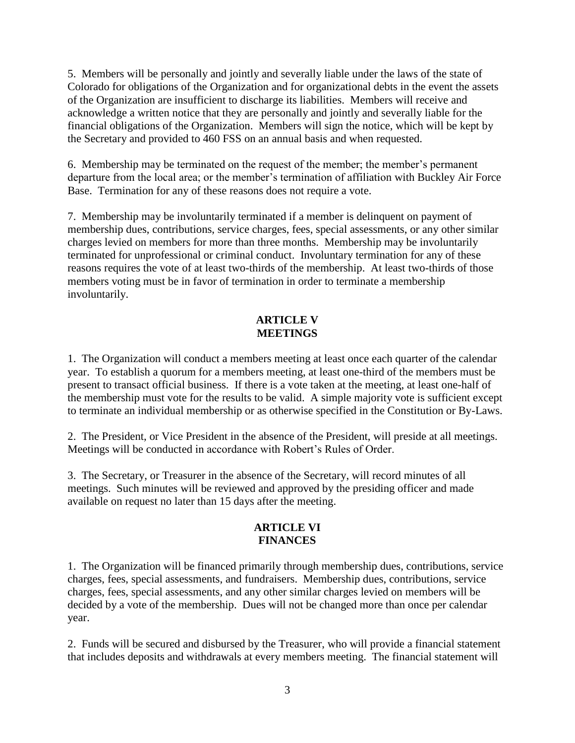5. Members will be personally and jointly and severally liable under the laws of the state of Colorado for obligations of the Organization and for organizational debts in the event the assets of the Organization are insufficient to discharge its liabilities. Members will receive and acknowledge a written notice that they are personally and jointly and severally liable for the financial obligations of the Organization. Members will sign the notice, which will be kept by the Secretary and provided to 460 FSS on an annual basis and when requested.

6. Membership may be terminated on the request of the member; the member's permanent departure from the local area; or the member's termination of affiliation with Buckley Air Force Base. Termination for any of these reasons does not require a vote.

7. Membership may be involuntarily terminated if a member is delinquent on payment of membership dues, contributions, service charges, fees, special assessments, or any other similar charges levied on members for more than three months. Membership may be involuntarily terminated for unprofessional or criminal conduct. Involuntary termination for any of these reasons requires the vote of at least two-thirds of the membership. At least two-thirds of those members voting must be in favor of termination in order to terminate a membership involuntarily.

# **ARTICLE V MEETINGS**

1. The Organization will conduct a members meeting at least once each quarter of the calendar year. To establish a quorum for a members meeting, at least one-third of the members must be present to transact official business. If there is a vote taken at the meeting, at least one-half of the membership must vote for the results to be valid. A simple majority vote is sufficient except to terminate an individual membership or as otherwise specified in the Constitution or By-Laws.

2. The President, or Vice President in the absence of the President, will preside at all meetings. Meetings will be conducted in accordance with Robert's Rules of Order.

3. The Secretary, or Treasurer in the absence of the Secretary, will record minutes of all meetings. Such minutes will be reviewed and approved by the presiding officer and made available on request no later than 15 days after the meeting.

## **ARTICLE VI FINANCES**

1. The Organization will be financed primarily through membership dues, contributions, service charges, fees, special assessments, and fundraisers. Membership dues, contributions, service charges, fees, special assessments, and any other similar charges levied on members will be decided by a vote of the membership. Dues will not be changed more than once per calendar year.

2. Funds will be secured and disbursed by the Treasurer, who will provide a financial statement that includes deposits and withdrawals at every members meeting. The financial statement will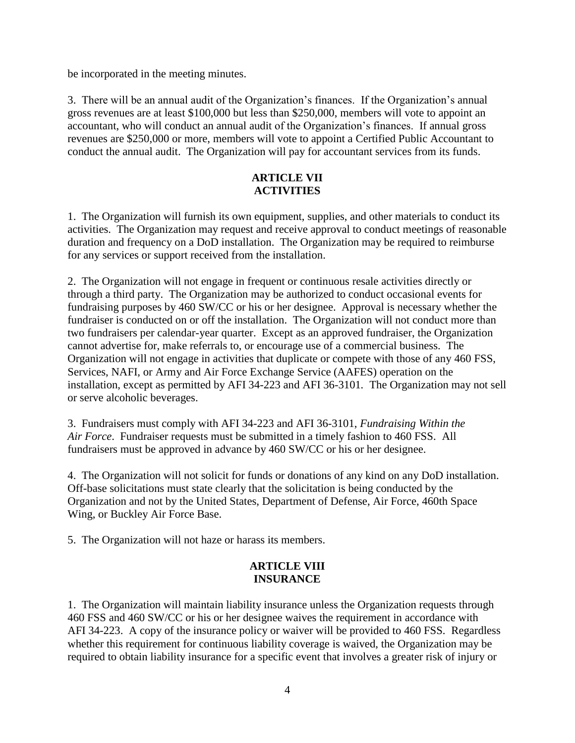be incorporated in the meeting minutes.

3. There will be an annual audit of the Organization's finances. If the Organization's annual gross revenues are at least \$100,000 but less than \$250,000, members will vote to appoint an accountant, who will conduct an annual audit of the Organization's finances. If annual gross revenues are \$250,000 or more, members will vote to appoint a Certified Public Accountant to conduct the annual audit. The Organization will pay for accountant services from its funds.

### **ARTICLE VII ACTIVITIES**

1. The Organization will furnish its own equipment, supplies, and other materials to conduct its activities. The Organization may request and receive approval to conduct meetings of reasonable duration and frequency on a DoD installation. The Organization may be required to reimburse for any services or support received from the installation.

2. The Organization will not engage in frequent or continuous resale activities directly or through a third party. The Organization may be authorized to conduct occasional events for fundraising purposes by 460 SW/CC or his or her designee. Approval is necessary whether the fundraiser is conducted on or off the installation. The Organization will not conduct more than two fundraisers per calendar-year quarter. Except as an approved fundraiser, the Organization cannot advertise for, make referrals to, or encourage use of a commercial business. The Organization will not engage in activities that duplicate or compete with those of any 460 FSS, Services, NAFI, or Army and Air Force Exchange Service (AAFES) operation on the installation, except as permitted by AFI 34-223 and AFI 36-3101*.* The Organization may not sell or serve alcoholic beverages.

3. Fundraisers must comply with AFI 34-223 and AFI 36-3101, *Fundraising Within the Air Force*. Fundraiser requests must be submitted in a timely fashion to 460 FSS. All fundraisers must be approved in advance by 460 SW/CC or his or her designee.

4. The Organization will not solicit for funds or donations of any kind on any DoD installation. Off-base solicitations must state clearly that the solicitation is being conducted by the Organization and not by the United States, Department of Defense, Air Force, 460th Space Wing, or Buckley Air Force Base.

5. The Organization will not haze or harass its members.

## **ARTICLE VIII INSURANCE**

1. The Organization will maintain liability insurance unless the Organization requests through 460 FSS and 460 SW/CC or his or her designee waives the requirement in accordance with AFI 34-223. A copy of the insurance policy or waiver will be provided to 460 FSS. Regardless whether this requirement for continuous liability coverage is waived, the Organization may be required to obtain liability insurance for a specific event that involves a greater risk of injury or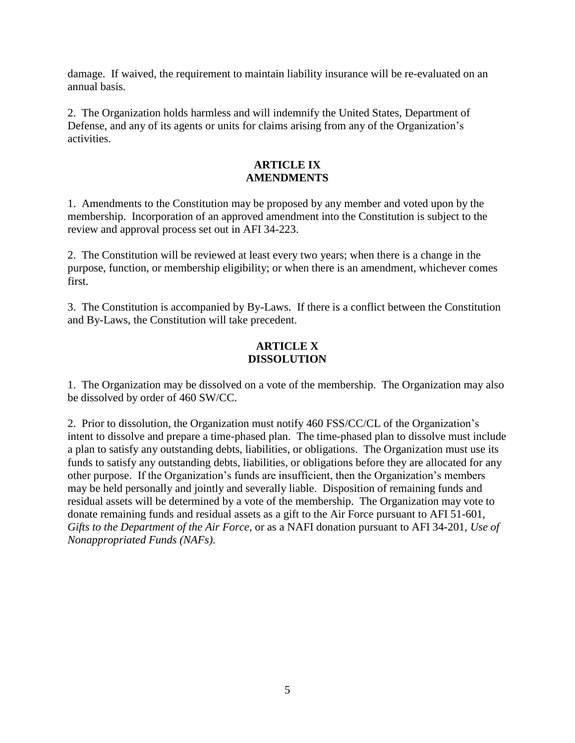damage. If waived, the requirement to maintain liability insurance will be re-evaluated on an annual basis.

2. The Organization holds harmless and will indemnify the United States, Department of Defense, and any of its agents or units for claims arising from any of the Organization's activities.

### **ARTICLE IX AMENDMENTS**

1. Amendments to the Constitution may be proposed by any member and voted upon by the membership. Incorporation of an approved amendment into the Constitution is subject to the review and approval process set out in AFI 34-223.

2. The Constitution will be reviewed at least every two years; when there is a change in the purpose, function, or membership eligibility; or when there is an amendment, whichever comes first.

3. The Constitution is accompanied by By-Laws. If there is a conflict between the Constitution and By-Laws, the Constitution will take precedent.

## **ARTICLE X DISSOLUTION**

1. The Organization may be dissolved on a vote of the membership. The Organization may also be dissolved by order of 460 SW/CC.

2. Prior to dissolution, the Organization must notify 460 FSS/CC/CL of the Organization's intent to dissolve and prepare a time-phased plan. The time-phased plan to dissolve must include a plan to satisfy any outstanding debts, liabilities, or obligations. The Organization must use its funds to satisfy any outstanding debts, liabilities, or obligations before they are allocated for any other purpose. If the Organization's funds are insufficient, then the Organization's members may be held personally and jointly and severally liable. Disposition of remaining funds and residual assets will be determined by a vote of the membership. The Organization may vote to donate remaining funds and residual assets as a gift to the Air Force pursuant to AFI 51-601, *Gifts to the Department of the Air Force*, or as a NAFI donation pursuant to AFI 34-201, *Use of Nonappropriated Funds (NAFs)*.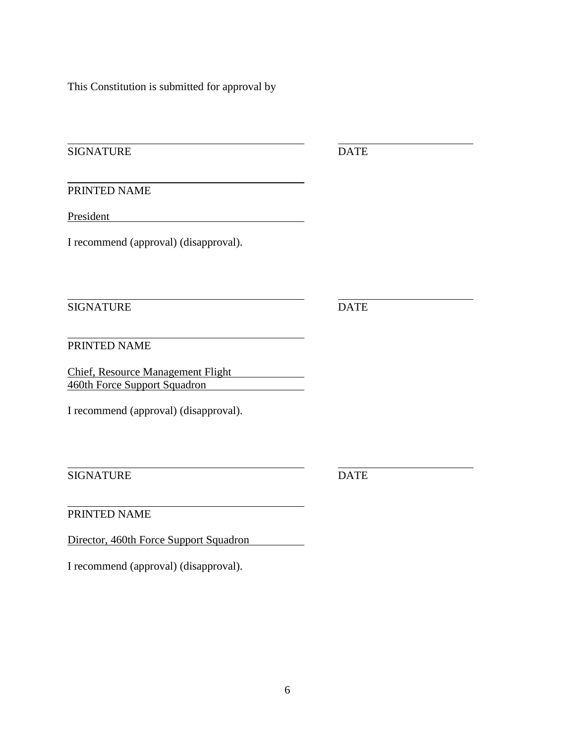This Constitution is submitted for approval by

SIGNATURE DATE

PRINTED NAME

President and the settlement of the settlement of the settlement of the settlement of the settlement of the settlement of the settlement of the settlement of the settlement of the settlement of the settlement of the settle

I recommend (approval) (disapproval).

SIGNATURE DATE

PRINTED NAME

Chief, Resource Management Flight 460th Force Support Squadron

I recommend (approval) (disapproval).

SIGNATURE DATE

PRINTED NAME

Director, 460th Force Support Squadron

I recommend (approval) (disapproval).